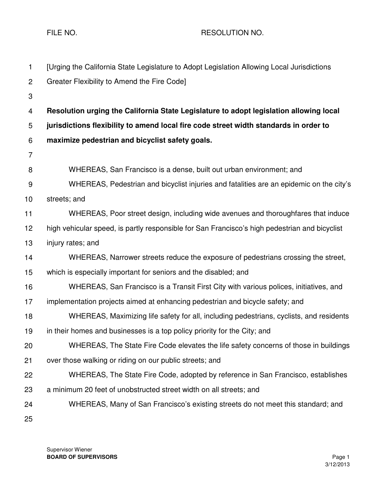FILE NO. A RESOLUTION NO.

| 1              | [Urging the California State Legislature to Adopt Legislation Allowing Local Jurisdictions    |
|----------------|-----------------------------------------------------------------------------------------------|
| $\overline{2}$ | Greater Flexibility to Amend the Fire Code]                                                   |
| 3              |                                                                                               |
| 4              | Resolution urging the California State Legislature to adopt legislation allowing local        |
| 5              | jurisdictions flexibility to amend local fire code street width standards in order to         |
| 6              | maximize pedestrian and bicyclist safety goals.                                               |
| $\overline{7}$ |                                                                                               |
| 8              | WHEREAS, San Francisco is a dense, built out urban environment; and                           |
| $9\,$          | WHEREAS, Pedestrian and bicyclist injuries and fatalities are an epidemic on the city's       |
| 10             | streets; and                                                                                  |
| 11             | WHEREAS, Poor street design, including wide avenues and thoroughfares that induce             |
| 12             | high vehicular speed, is partly responsible for San Francisco's high pedestrian and bicyclist |
| 13             | injury rates; and                                                                             |
| 14             | WHEREAS, Narrower streets reduce the exposure of pedestrians crossing the street,             |
| 15             | which is especially important for seniors and the disabled; and                               |
| 16             | WHEREAS, San Francisco is a Transit First City with various polices, initiatives, and         |
| 17             | implementation projects aimed at enhancing pedestrian and bicycle safety; and                 |
| 18             | WHEREAS, Maximizing life safety for all, including pedestrians, cyclists, and residents       |
| 19             | in their homes and businesses is a top policy priority for the City; and                      |
| 20             | WHEREAS, The State Fire Code elevates the life safety concerns of those in buildings          |
| 21             | over those walking or riding on our public streets; and                                       |
| 22             | WHEREAS, The State Fire Code, adopted by reference in San Francisco, establishes              |
| 23             | a minimum 20 feet of unobstructed street width on all streets; and                            |
| 24             | WHEREAS, Many of San Francisco's existing streets do not meet this standard; and              |
| 25             |                                                                                               |